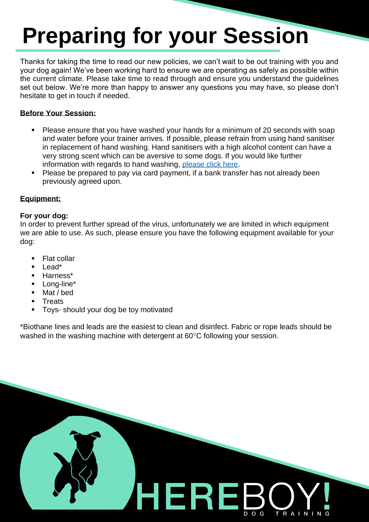# **Preparing for your Session**

Thanks for taking the time to read our new policies, we can't wait to be out training with you and your dog again! We've been working hard to ensure we are operating as safely as possible within the current climate. Please take time to read through and ensure you understand the guidelines set out below. We're more than happy to answer any questions you may have, so please don't hesitate to get in touch if needed.

### **Before Your Session:**

- Please ensure that you have washed your hands for a minimum of 20 seconds with soap and water before your trainer arrives. If possible, please refrain from using hand sanitiser in replacement of hand washing. Hand sanitisers with a high alcohol content can have a very strong scent which can be aversive to some dogs. If you would like further information with regards to hand washing, [please click here.](https://www.who.int/gpsc/clean_hands_protection/en/)
- Please be prepared to pay via card payment, if a bank transfer has not already been previously agreed upon.

## **Equipment:**

### **For your dog:**

In order to prevent further spread of the virus, unfortunately we are limited in which equipment we are able to use. As such, please ensure you have the following equipment available for your dog:

- Flat collar
- Lead\*
- Harness\*
- Long-line\*
- Mat / bed
- **Treats**
- Toys- should your dog be toy motivated

\*Biothane lines and leads are the easiest to clean and disinfect. Fabric or rope leads should be washed in the washing machine with detergent at  $60^{\circ}$ C following your session.

HERE

TRAINING